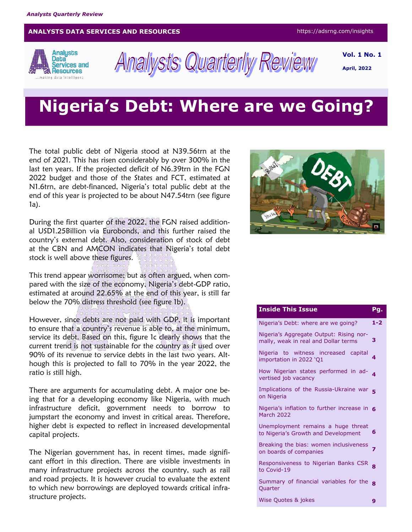## **ANALYSTS DATA SERVICES AND RESOURCES** https://adsrng.com/insights



**Analysts Quarterly Review** 

**Vol. 1 No. 1 April, 2022**

# **Nigeria's Debt: Where are we Going?**

The total public debt of Nigeria stood at N39.56trn at the end of 2021. This has risen considerably by over 300% in the last ten years. If the projected deficit of N6.39trn in the FGN 2022 budget and those of the States and FCT, estimated at N1.6trn, are debt-financed, Nigeria's total public debt at the end of this year is projected to be about N47.54trn (see figure 1a).

During the first quarter of the 2022, the FGN raised additional USD1.25Billion via Eurobonds, and this further raised the country's external debt. Also, consideration of stock of debt at the CBN and AMCON indicates that Nigeria's total debt stock is well above these figures.

This trend appear worrisome; but as often argued, when compared with the size of the economy, Nigeria's debt-GDP ratio, estimated at around 22.65% at the end of this year, is still far below the 70% distress threshold (see figure 1b).

However, since debts are not paid with GDP, it is important to ensure that a country's revenue is able to, at the minimum, service its debt. Based on this, figure 1c clearly shows that the current trend is not sustainable for the country as it used over 90% of its revenue to service debts in the last two years. Although this is projected to fall to 70% in the year 2022, the ratio is still high.

There are arguments for accumulating debt. A major one being that for a developing economy like Nigeria, with much infrastructure deficit, government needs to borrow to jumpstart the economy and invest in critical areas. Therefore, higher debt is expected to reflect in increased developmental capital projects.

The Nigerian government has, in recent times, made significant effort in this direction. There are visible investments in many infrastructure projects across the country, such as rail and road projects. It is however crucial to evaluate the extent to which new borrowings are deployed towards critical infrastructure projects.



| <b>Inside This Issue</b>                                                        | Pg.                     |
|---------------------------------------------------------------------------------|-------------------------|
| Nigeria's Debt: where are we going?                                             | $1 - 2$                 |
| Nigeria's Aggregate Output: Rising nor-<br>mally, weak in real and Dollar terms | 3                       |
| Nigeria to witness increased capital<br>importation in 2022 'Q1                 | $\overline{\mathbf{A}}$ |
| How Nigerian states performed in ad-<br>vertised job vacancy                    | $\overline{4}$          |
| Implications of the Russia-Ukraine war<br>on Nigeria                            |                         |
| Nigeria's inflation to further increase in 6<br><b>March 2022</b>               |                         |
| Unemployment remains a huge threat<br>to Nigeria's Growth and Development       | 6                       |
| Breaking the bias: women inclusiveness<br>on boards of companies                | $\overline{z}$          |
| Responsiveness to Nigerian Banks CSR<br>to Covid-19                             | $\mathbf{R}$            |
| Summary of financial variables for the<br>Quarter                               | $\mathbf{R}$            |
| Wise Quotes & jokes                                                             | 9                       |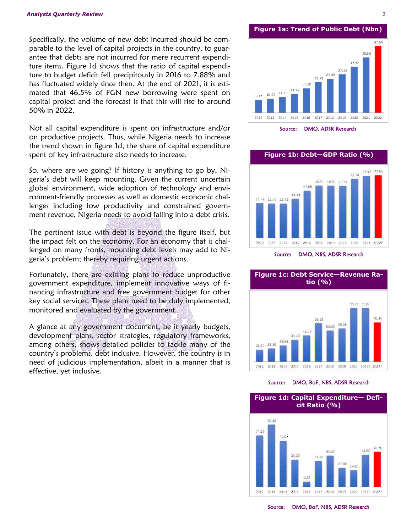Specifically, the volume of new debt incurred should be comparable to the level of capital projects in the country, to guarantee that debts are not incurred for mere recurrent expenditure items. Figure 1d shows that the ratio of capital expenditure to budget deficit fell precipitously in 2016 to 7.88% and has fluctuated widely since then. At the end of 2021, it is estimated that 46.5% of FGN new borrowing were spent on capital project and the forecast is that this will rise to around 50% in 2022.

Not all capital expenditure is spent on infrastructure and/or on productive projects. Thus, while Nigeria needs to increase the trend shown in figure 1d, the share of capital expenditure spent of key infrastructure also needs to increase.

So, where are we going? If history is anything to go by, Nigeria's debt will keep mounting. Given the current uncertain global environment, wide adoption of technology and environment-friendly processes as well as domestic economic challenges including low productivity and constrained government revenue, Nigeria needs to avoid falling into a debt crisis.

The pertinent issue with debt is beyond the figure itself, but the impact felt on the economy. For an economy that is challenged on many fronts, mounting debt levels may add to Nigeria's problem; thereby requiring urgent actions.

Fortunately, there are existing plans to reduce unproductive government expenditure, implement innovative ways of financing infrastructure and free government budget for other key social services. These plans need to be duly implemented, monitored and evaluated by the government.

A glance at any government document, be it yearly budgets, development plans, sector strategies, regulatory frameworks, among others, shows detailed policies to tackle many of the country's problems, debt inclusive. However, the country is in need of judicious implementation, albeit in a manner that is effective, yet inclusive.

## **Figure 1a: Trend of Public Debt (Nbn)**



Source: DMO, ADSR Research

**Figure 1b: Debt—GDP Ratio (%)**



**Figure 1c: Debt Service—Revenue Ratio (%)**



Source: DMO, BoF, NBS, ADSR Research

**Figure 1d: Capital Expenditure— Deficit Ratio (%)** 90.26  $74.38$ 66.62 50.76 46.50 45:37 39.33 37.88 2012 2013 2014 2015 2016 2017 2018 2019 2020 2021E 2022F

Source: DMO, BoF, NBS, ADSR Research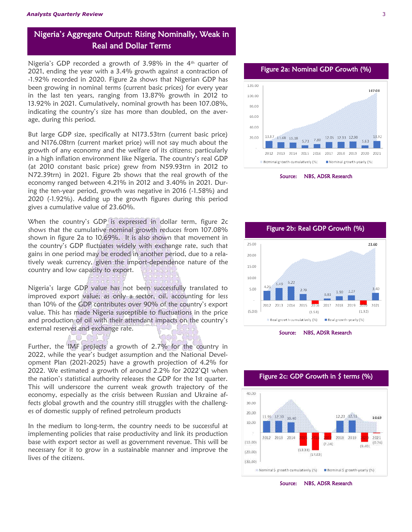## Nigeria's Aggregate Output: Rising Nominally, Weak in Real and Dollar Terms

Nigeria's GDP recorded a growth of 3.98% in the 4th quarter of 2021, ending the year with a 3.4% growth against a contraction of -1.92% recorded in 2020. Figure 2a shows that Nigerian GDP has been growing in nominal terms (current basic prices) for every year in the last ten years, ranging from 13.87% growth in 2012 to 13.92% in 2021. Cumulatively, nominal growth has been 107.08%, indicating the country's size has more than doubled, on the average, during this period.

But large GDP size, specifically at N173.53trn (current basic price) and N176.08trn (current market price) will not say much about the growth of any economy and the welfare of its citizens; particularly in a high inflation environment like Nigeria. The country's real GDP (at 2010 constant basic price) grew from N59.93trn in 2012 to N72.39trn) in 2021. Figure 2b shows that the real growth of the economy ranged between 4.21% in 2012 and 3.40% in 2021. During the ten-year period, growth was negative in 2016 (-1.58%) and 2020 (-1.92%). Adding up the growth figures during this period gives a cumulative value of 23.60%.

When the country's GDP is expressed in dollar term, figure 2c shows that the cumulative nominal growth reduces from 107.08% shown in figure 2a to 10.69%. It is also shown that movement in the country's GDP fluctuates widely with exchange rate, such that gains in one period may be eroded in another period, due to a relatively weak currency, given the import-dependence nature of the country and low capacity to export.

Nigeria's large GDP value has not been successfully translated to improved export value; as only a sector, oil, accounting for less than 10% of the GDP contributes over 90% of the country's export value. This has made Nigeria susceptible to fluctuations in the price and production of oil with their attendant impacts on the country's external reserves and exchange rate.

Further, the IMF projects a growth of 2.7% for the country in 2022, while the year's budget assumption and the National Development Plan (2021-2025) have a growth projection of 4.2% for 2022. We estimated a growth of around 2.2% for 2022'Q1 when the nation's statistical authority releases the GDP for the 1st quarter. This will underscore the current weak growth trajectory of the economy, especially as the crisis between Russian and Ukraine affects global growth and the country still struggles with the challenges of domestic supply of refined petroleum products

In the medium to long-term, the country needs to be successful at implementing policies that raise productivity and link its production base with export sector as well as government revenue. This will be necessary for it to grow in a sustainable manner and improve the lives of the citizens.



Source: NBS, ADSR Research







Source: NBS, ADSR Research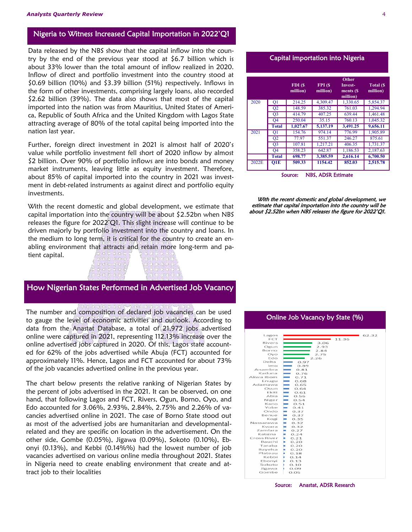#### Nigeria to Witness Increased Capital Importation in 2022'Q1

Data released by the NBS show that the capital inflow into the country by the end of the previous year stood at  $$6.7$  billion which is about 33% lower than the total amount of inflow realized in 2020. Inflow of direct and portfolio investment into the country stood at \$0.69 billion (10%) and \$3.39 billion (51%) respectively. Inflows in the form of other investments, comprising largely loans, also recorded \$2.62 billion (39%). The data also shows that most of the capital imported into the nation was from Mauritius, United States of America, Republic of South Africa and the United Kingdom with Lagos State attracting average of 80% of the total capital being imported into the nation last year.

Further, foreign direct investment in 2021 is almost half of 2020's value while portfolio investment fell short of 2020 inflow by almost \$2 billion. Over 90% of portfolio inflows are into bonds and money market instruments, leaving little as equity investment. Therefore, about 85% of capital imported into the country in 2021 was investment in debt-related instruments as against direct and portfolio equity investments.

With the recent domestic and global development, we estimate that capital importation into the country will be about \$2.52bn when NBS releases the figure for 2022'Q1. This slight increase will continue to be driven majorly by portfolio investment into the country and loans. In the medium to long term, it is critical for the country to create an enabling environment that attracts and retain more long-term and patient capital.

## How Nigerian States Performed in Advertised Job Vacancy

The number and composition of declared job vacancies can be used to gauge the level of economic activities and outlook. According to data from the Anastat Database, a total of 21,972 jobs advertised online were captured in 2021, representing 112.13% increase over the online advertised jobs captured in 2020. Of this, Lagos state accounted for 62% of the jobs advertised while Abuja (FCT) accounted for approximately 11%. Hence, Lagos and FCT accounted for about 73% of the job vacancies advertised online in the previous year.

The chart below presents the relative ranking of Nigerian States by the percent of jobs advertised in the 2021. It can be observed, on one hand, that following Lagos and FCT, Rivers, Ogun, Borno, Oyo, and Edo accounted for 3.06%, 2.93%, 2.84%, 2.75% and 2.26% of vacancies advertised online in 2021. The case of Borno State stood out as most of the advertised jobs are humanitarian and developmentalrelated and they are specific on location in the advertisement. On the other side, Gombe (0.05%), Jigawa (0.09%), Sokoto (0.10%), Ebonyi (0.13%), and Kebbi (0.14%%) had the lowest number of job vacancies advertised on various online media throughout 2021. States in Nigeria need to create enabling environment that create and attract job to their localities

#### Capital importation into Nigeria

|       |                | FDI(S)<br>million) | FPI(S)<br>million) | Other<br>Invest-<br>ments (\$<br>million) | Total (\$<br>million) |
|-------|----------------|--------------------|--------------------|-------------------------------------------|-----------------------|
| 2020  | Q1             | 214.25             | 4,309.47           | 1,330.65                                  | 5,854.37              |
|       | Q <sub>2</sub> | 148.59             | 385.32             | 761.03                                    | 1,294.94              |
|       | Q <sub>3</sub> | 414.79             | 407.25             | 639.44                                    | 1,461.48              |
|       | O <sub>4</sub> | 250.04             | 35.15              | 760.13                                    | 1,045.32              |
|       | <b>Total</b>   | 1,027.67           | 5.137.19           | 3.491.25                                  | 9.656.11              |
| 2021  | O <sub>1</sub> | 154.76             | 974.14             | 776.99                                    | 1.905.89              |
|       | Q <sub>2</sub> | 77.97              | 551.37             | 246.27                                    | 875.61                |
|       | Q <sub>3</sub> | 107.81             | 1,217.21           | 406.35                                    | 1.731.37              |
|       | O <sub>4</sub> | 358.23             | 642.87             | 1.186.53                                  | 2,187.63              |
|       | <b>Total</b>   | 698.77             | 3.385.59           | 2,616.14                                  | 6,700.50              |
| 2022E | O1E            | 509.33             | 1154.42            | 852.03                                    | 2,515.78              |

Source: NBS, ADSR Estimate

With the recent domestic and global development, we estimate that capital importation into the country will be about \$2.52bn when NBS releases the figure for 2022'Q1.

#### Online Job Vacancy by State (%)

| Lagos       |                                       | 62.32 |
|-------------|---------------------------------------|-------|
| <b>FCT</b>  | 11.36                                 |       |
| Rivers      | 3.06                                  |       |
| Ogun        | 2.93                                  |       |
| Borno       | 2.84                                  |       |
| Ovo         | 2.75                                  |       |
| Edo         | 2.26                                  |       |
| Delta       | 0.97                                  |       |
| Imo         | 0.89                                  |       |
| Anambra     | 0.81                                  |       |
| Kaduna      | 0.76<br><b><i><u>Property</u></i></b> |       |
| Akwa Ibom   | 0.71<br><b>Contract Contract</b>      |       |
| Enugu       | 0.68<br><b>Contract Contract</b>      |       |
| Adamawa     | 0.65<br>_                             |       |
| Osun        | <b>Contract</b><br>0.64               |       |
| Ekiti       | ▄<br>0.61                             |       |
| Abia        | 0.56<br>$\sim$                        |       |
| Niger       | 0.54<br><b>Contract</b>               |       |
| Kano        | 0.51<br>$\sim$                        |       |
| Yobe        | O.41<br>-                             |       |
| Ondo        | 0.37<br>$\overline{\phantom{a}}$      |       |
| Benue       | 0.37<br><b>College</b>                |       |
| Kogi        | 0.35                                  |       |
| Nassarawa   | 0.32<br>ш                             |       |
| Kwara       | ш<br>O.32                             |       |
| Zamfara     | ш<br>0.27                             |       |
| Katsina     | н<br>O.24                             |       |
| Cross River | 0.21<br>ш                             |       |
| Bauchi      | ш<br>O.2O                             |       |
| Taraba      | 0.20<br>ш                             |       |
| Bayelsa     | 0.20<br>ш                             |       |
| Plateau     | ×.<br>0.18                            |       |
| Kebbi       | ×<br>0.14                             |       |
| Ebonyi      | н<br>0.13                             |       |
| Sokoto      | 'n.<br>0.10                           |       |
| Jigawa      | O.09<br>'n                            |       |
| Gombe       | O.05                                  |       |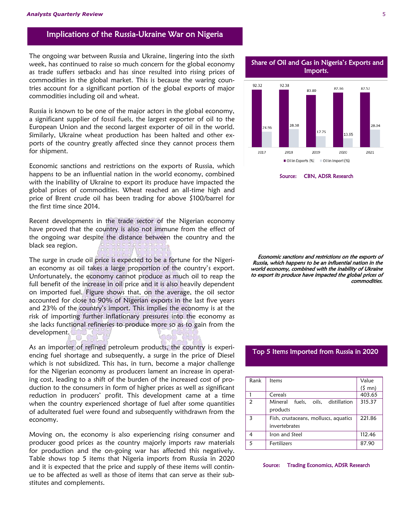## Implications of the Russia-Ukraine War on Nigeria

The ongoing war between Russia and Ukraine, lingering into the sixth week, has continued to raise so much concern for the global economy as trade suffers setbacks and has since resulted into rising prices of commodities in the global market. This is because the waring countries account for a significant portion of the global exports of major commodities including oil and wheat.

Russia is known to be one of the major actors in the global economy, a significant supplier of fossil fuels, the largest exporter of oil to the European Union and the second largest exporter of oil in the world. Similarly, Ukraine wheat production has been halted and other exports of the country greatly affected since they cannot process them for shipment.

Economic sanctions and restrictions on the exports of Russia, which happens to be an influential nation in the world economy, combined with the inability of Ukraine to export its produce have impacted the global prices of commodities. Wheat reached an all-time high and price of Brent crude oil has been trading for above \$100/barrel for the first time since 2014.

Recent developments in the trade sector of the Nigerian economy have proved that the country is also not immune from the effect of the ongoing war despite the distance between the country and the black sea region.

The surge in crude oil price is expected to be a fortune for the Nigerian economy as oil takes a large proportion of the country's export. Unfortunately, the economy cannot produce as much oil to reap the full benefit of the increase in oil price and it is also heavily dependent on imported fuel. Figure shows that, on the average, the oil sector accounted for close to 90% of Nigerian exports in the last five years and 23% of the country's import. This implies the economy is at the risk of importing further inflationary pressures into the economy as she lacks functional refineries to produce more so as to gain from the development.

As an importer of refined petroleum products, the country is experiencing fuel shortage and subsequently, a surge in the price of Diesel which is not subsidized. This has, in turn, become a major challenge for the Nigerian economy as producers lament an increase in operating cost, leading to a shift of the burden of the increased cost of production to the consumers in form of higher prices as well as significant reduction in producers' profit. This development came at a time when the country experienced shortage of fuel after some quantities of adulterated fuel were found and subsequently withdrawn from the economy.

Moving on, the economy is also experiencing rising consumer and producer good prices as the country majorly imports raw materials for production and the on-going war has affected this negatively. Table shows top 5 items that Nigeria imports from Russia in 2020 and it is expected that the price and supply of these items will continue to be affected as well as those of items that can serve as their substitutes and complements.



Source: CBN, ADSR Research

Economic sanctions and restrictions on the exports of Russia, which happens to be an influential nation in the world economy, combined with the inability of Ukraine to export its produce have impacted the global prices of commodities.

#### Top 5 Items Imported from Russia in 2020

| Rank           | ltems                                 | Value            |
|----------------|---------------------------------------|------------------|
|                |                                       | $(5 \text{ mn})$ |
|                | Cereals                               | 403.65           |
| $\overline{2}$ | Mineral fuels, oils, distillation     | 315.37           |
|                | products                              |                  |
| 3              | Fish, crustaceans, molluscs, aquatics | 221.86           |
|                | invertebrates                         |                  |
|                | Iron and Steel                        | 112.46           |
| 5              | Fertilizers                           | 87.90            |

#### Source: Trading Economics, ADSR Research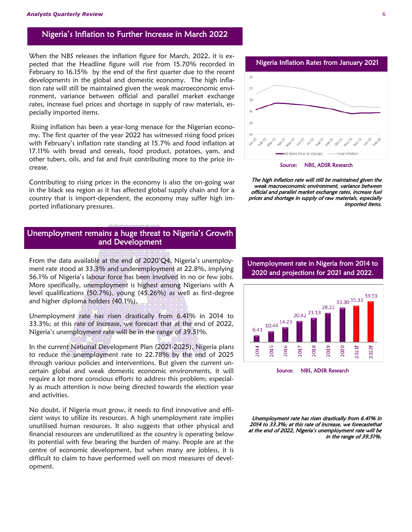## Nigeria's Inflation to Further Increase in March 2022

When the NBS releases the inflation figure for March, 2022, it is expected that the Headline figure will rise from 15.70% recorded in February to 16.15% by the end of the first quarter due to the recent developments in the global and domestic economy. The high inflation rate will still be maintained given the weak macroeconomic environment, variance between official and parallel market exchange rates, increase fuel prices and shortage in supply of raw materials, especially imported items.

 Rising inflation has been a year-long menace for the Nigerian economy. The first quarter of the year 2022 has witnessed rising food prices with February's inflation rate standing at 15.7% and food inflation at 17.11% with bread and cereals, food product, potatoes, yam, and other tubers, oils, and fat and fruit contributing more to the price increase.

Contributing to rising prices in the economy is also the on-going war in the black sea region as it has affected global supply chain and for a country that is import-dependent, the economy may suffer high imported inflationary pressures.

## Unemployment remains a huge threat to Nigeria's Growth and Development

From the data available at the end of 2020'Q4, Nigeria's unemployment rate stood at 33.3% and underemployment at 22.8%, implying 56.1% of Nigeria's labour force has been involved in no or few jobs. More specifically, unemployment is highest among Nigerians with A level qualifications (50.7%), young (45.26%) as well as first-degree and higher diploma holders (40.1%).

Unemployment rate has risen drastically from 6.41% in 2014 to 33.3%; at this rate of increase, we forecast that at the end of 2022, Nigeria's unemployment rate will be in the range of 39.51%.

In the current National Development Plan (2021-2025), Nigeria plans to reduce the unemployment rate to 22.78% by the end of 2025 through various policies and interventions. But given the current uncertain global and weak domestic economic environments, it will require a lot more conscious efforts to address this problem; especially as much attention is now being directed towards the election year and activities.

No doubt, if Nigeria must grow, it needs to find innovative and efficient ways to utilize its resources. A high unemployment rate implies unutilised human resources. It also suggests that other physical and financial resources are underutilized as the country is operating below its potential with few bearing the burden of many. People are at the centre of economic development, but when many are jobless, it is difficult to claim to have performed well on most measures of development.

Nigeria Inflation Rates from January 2021



The high inflation rate will still be maintained given the weak macroeconomic environment, variance between official and parallel market exchange rates, increase fuel prices and shortage in supply of raw materials, especially imported items.



Source: NBS, ADSR Research

Unemployment rate has risen drastically from 6.41% in 2014 to 33.3%; at this rate of increase, we forecastethat at the end of 2022, Nigeria's unemployment rate will be in the range of 39.51%.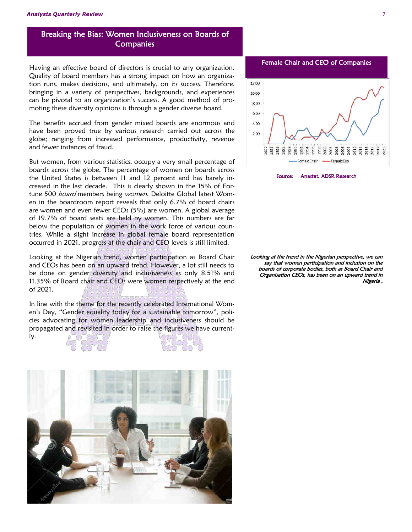## Breaking the Bias: Women Inclusiveness on Boards of **Companies**

Having an effective board of directors is crucial to any organization. Quality of board members has a strong impact on how an organization runs, makes decisions, and ultimately, on its success. Therefore, bringing in a variety of perspectives, backgrounds, and experiences can be pivotal to an organization's success. A good method of promoting these diversity opinions is through a gender diverse board.

The benefits accrued from gender mixed boards are enormous and have been proved true by various research carried out across the globe; ranging from increased performance, productivity, revenue and fewer instances of fraud.

But women, from various statistics, occupy a very small percentage of boards across the globe. The percentage of women on boards across the United States is between 11 and 12 percent and has barely increased in the last decade. This is clearly shown in the 15% of Fortune 500 board members being women. Deloitte Global latest Women in the boardroom report reveals that only 6.7% of board chairs are women and even fewer CEOs (5%) are women. A global average of 19.7% of board seats are held by women. This numbers are far below the population of women in the work force of various countries. While a slight increase in global female board representation occurred in 2021, progress at the chair and CEO levels is still limited.

Looking at the Nigerian trend, women participation as Board Chair and CEOs has been on an upward trend. However, a lot still needs to be done on gender diversity and inclusiveness as only 8.51% and 11.35% of Board chair and CEOs were women respectively at the end of 2021.

In line with the theme for the recently celebrated International Women's Day, "Gender equality today for a sustainable tomorrow", policies advocating for women leadership and inclusiveness should be propagated and revisited in order to raise the figures we have currently.



Female Chair and CEO of Companies



Source: Anastat, ADSR Research

Looking at the trend in the Nigerian perspective, we can say that women participation and inclusion on the boards of corporate bodies, both as Board Chair and Organisation CEOs, has been on an upward trend in Nigeria .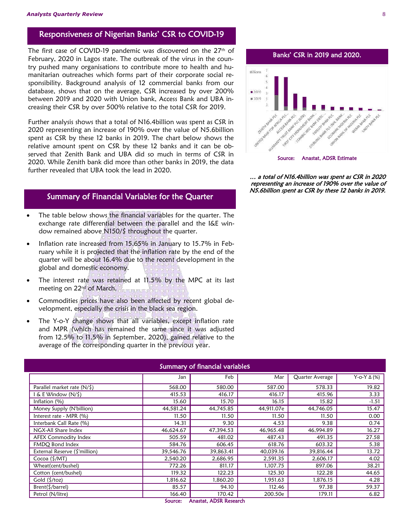## Responsiveness of Nigerian Banks' CSR to COVID-19

The first case of COVID-19 pandemic was discovered on the 27<sup>th</sup> of February, 2020 in Lagos state. The outbreak of the virus in the country pushed many organisations to contribute more to health and humanitarian outreaches which forms part of their corporate social responsibility. Background analysis of 12 commercial banks from our database, shows that on the average, CSR increased by over 200% between 2019 and 2020 with Union bank, Access Bank and UBA increasing their CSR by over 500% relative to the total CSR for 2019.

Further analysis shows that a total of N16.4billion was spent as CSR in 2020 representing an increase of 190% over the value of N5.6billion spent as CSR by these 12 banks in 2019. The chart below shows the relative amount spent on CSR by these 12 banks and it can be observed that Zenith Bank and UBA did so much in terms of CSR in 2020. While Zenith bank did more than other banks in 2019, the data further revealed that UBA took the lead in 2020.

## Summary of Financial Variables for the Quarter

- The table below shows the financial variables for the quarter. The exchange rate differential between the parallel and the I&E window remained above N150/\$ throughout the quarter.
- Inflation rate increased from 15.65% in January to 15.7% in February while it is projected that the inflation rate by the end of the quarter will be about 16.4% due to the recent development in the global and domestic economy.
- The interest rate was retained at 11.5% by the MPC at its last meeting on 22<sup>nd</sup> of March.
- Commodities prices have also been affected by recent global development, especially the crisis in the black sea region.
- The Y-o-Y change shows that all variables, except inflation rate and MPR (which has remained the same since it was adjusted from 12.5% to 11.5% in September, 2020), gained relative to the average of the corresponding quarter in the previous year.

Banks' CSR in 2019 and 2020.



Source: Anastat, ADSR Estimate

… a total of N16.4billion was spent as CSR in 2020 representing an increase of 190% over the value of N5.6billion spent as CSR by these 12 banks in 2019.

| Summary of financial variables           |           |           |            |                 |                    |  |
|------------------------------------------|-----------|-----------|------------|-----------------|--------------------|--|
|                                          | Jan       | Feb       | Mar        | Quarter Average | Y-o-Y $\Delta$ (%) |  |
| Parallel market rate $(N/\xi)$           | 568.00    | 580.00    | 587.00     | 578.33          | 19.82              |  |
| & E Window (N/\$)                        | 415.53    | 416.17    | 416.17     | 415.96          | 3.33               |  |
| Inflation (%)                            | 15.60     | 15.70     | 16.15      | 15.82           | $-1.51$            |  |
| Money Supply (N'billion)                 | 44,581.24 | 44,745.85 | 44,911.07e | 44,746.05       | 15.47              |  |
| Interest rate - MPR (%)                  | 11.50     | 11.50     | 11.50      | 11.50           | 0.00               |  |
| Interbank Call Rate (%)                  | 14.31     | 9.30      | 4.53       | 9.38            | 0.74               |  |
| NGX-All Share Index                      | 46.624.67 | 47.394.53 | 46,965.48  | 46,994.89       | 16.27              |  |
| AFEX Commodity Index                     | 505.59    | 481.02    | 487.43     | 491.35          | 27.58              |  |
| FMDQ Bond Index                          | 584.76    | 606.45    | 618.76     | 603.32          | 5.38               |  |
| External Reserve (\$'million)            | 39,546.76 | 39.863.41 | 40.039.16  | 39,816.44       | 13.72              |  |
| Cocoa (\$/MT)                            | 2,540.20  | 2,686.95  | 2,591.35   | 2,606.17        | 4.02               |  |
| Wheat(cent/bushel)                       | 772.26    | 811.17    | 1,107.75   | 897.06          | 38.21              |  |
| Cotton (cent/bushel)                     | 119.32    | 122.23    | 125.30     | 122.28          | 44.65              |  |
| Gold $(\frac{2}{3})$ toz)                | 1.816.62  | 1,860.20  | 1.951.63   | 1.876.15        | 4.28               |  |
| $Brent(\xi/barrel)$                      | 85.57     | 94.10     | 112.46     | 97.38           | 59.37              |  |
| Petrol (N/litre)                         | 166.40    | 170.42    | 200.50e    | 179.11          | 6.82               |  |
| <b>Anastat, ADSR Research</b><br>Source: |           |           |            |                 |                    |  |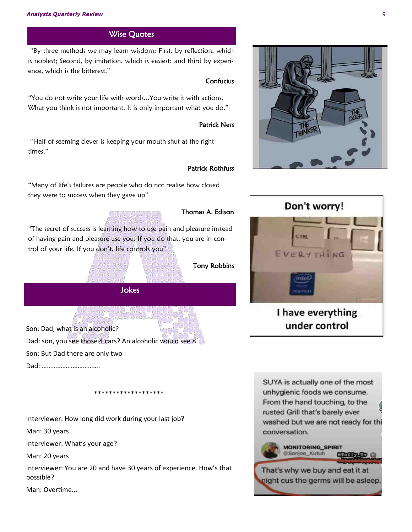#### **Analysts Quarterly Review**

## Wise Quotes

"By three methods we may learn wisdom: First, by reflection, which is noblest; Second, by imitation, which is easiest; and third by experience, which is the bitterest."

## **Confucius**

"You do not write your life with words...You write it with actions. What you think is not important. It is only important what you do."

#### Patrick Ness

"Half of seeming clever is keeping your mouth shut at the right times."

### Patrick Rothfuss

"Many of life's failures are people who do not realise how closed they were to success when they gave up"

## Thomas A. Edison

"The secret of success is learning how to use pain and pleasure instead of having pain and pleasure use you. If you do that, you are in control of your life. If you don't, life controls you"

## Tony Robbins

Jokes

Son: Dad, what is an alcoholic? Dad: son, you see those 4 cars? An alcoholic would see 8 Son: But Dad there are only two

Dad: …………………………….

Interviewer: How long did work during your last job?

Man: 30 years.

Interviewer: What's your age?

Man: 20 years

Interviewer: You are 20 and have 30 years of experience. How's that possible?

\*\*\*\*\*\*\*\*\*\*\*\*\*\*\*\*\*\*\*

Man: Overtime...

SUYA is actually one of the most unhygienic foods we consume. From the hand touching, to the rusted Grill that's barely ever washed but we are not ready for thi conversation.







## I have everything under control

That's why we buy and eat it at pight cus the germs will be asleep.